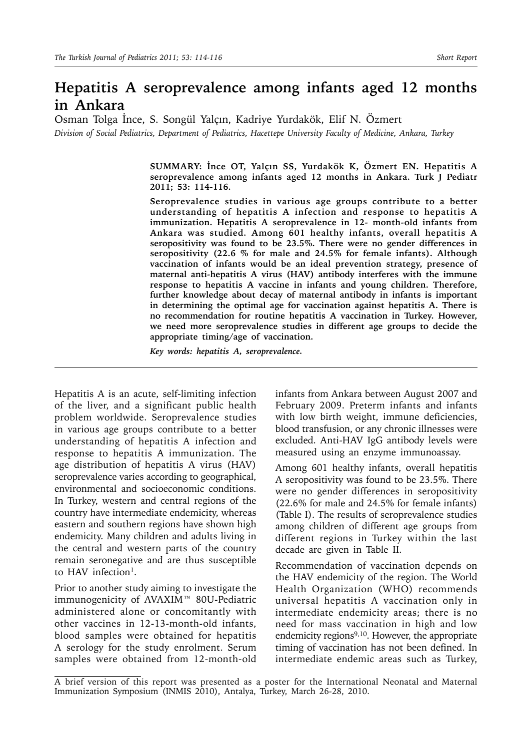## **Hepatitis A seroprevalence among infants aged 12 months in Ankara**

Osman Tolga İnce, S. Songül Yalçın, Kadriye Yurdakök, Elif N. Özmert *Division of Social Pediatrics, Department of Pediatrics, Hacettepe University Faculty of Medicine, Ankara, Turkey*

> **SUMMARY: İnce OT, Yalçın SS, Yurdakök K, Özmert EN. Hepatitis A seroprevalence among infants aged 12 months in Ankara. Turk J Pediatr 2011; 53: 114-116.**

> **Seroprevalence studies in various age groups contribute to a better understanding of hepatitis A infection and response to hepatitis A immunization. Hepatitis A seroprevalence in 12- month-old infants from Ankara was studied. Among 601 healthy infants, overall hepatitis A seropositivity was found to be 23.5%. There were no gender differences in seropositivity (22.6 % for male and 24.5% for female infants). Although vaccination of infants would be an ideal prevention strategy, presence of maternal anti-hepatitis A virus (HAV) antibody interferes with the immune response to hepatitis A vaccine in infants and young children. Therefore, further knowledge about decay of maternal antibody in infants is important in determining the optimal age for vaccination against hepatitis A. There is no recommendation for routine hepatitis A vaccination in Turkey. However, we need more seroprevalence studies in different age groups to decide the appropriate timing/age of vaccination.**

*Key words: hepatitis A, seroprevalence.*

Hepatitis A is an acute, self-limiting infection of the liver, and a significant public health problem worldwide. Seroprevalence studies in various age groups contribute to a better understanding of hepatitis A infection and response to hepatitis A immunization. The age distribution of hepatitis A virus (HAV) seroprevalence varies according to geographical, environmental and socioeconomic conditions. In Turkey, western and central regions of the country have intermediate endemicity, whereas eastern and southern regions have shown high endemicity. Many children and adults living in the central and western parts of the country remain seronegative and are thus susceptible to HAV infection<sup>1</sup>.

Prior to another study aiming to investigate the immunogenicity of AVAXIM™ 80U-Pediatric administered alone or concomitantly with other vaccines in 12-13-month-old infants, blood samples were obtained for hepatitis A serology for the study enrolment. Serum samples were obtained from 12-month-old infants from Ankara between August 2007 and February 2009. Preterm infants and infants with low birth weight, immune deficiencies, blood transfusion, or any chronic illnesses were excluded. Anti-HAV IgG antibody levels were measured using an enzyme immunoassay.

Among 601 healthy infants, overall hepatitis A seropositivity was found to be 23.5%. There were no gender differences in seropositivity (22.6% for male and 24.5% for female infants) (Table I). The results of seroprevalence studies among children of different age groups from different regions in Turkey within the last decade are given in Table II.

Recommendation of vaccination depends on the HAV endemicity of the region. The World Health Organization (WHO) recommends universal hepatitis A vaccination only in intermediate endemicity areas; there is no need for mass vaccination in high and low endemicity regions $9,10$ . However, the appropriate timing of vaccination has not been defined. In intermediate endemic areas such as Turkey,

A brief version of this report was presented as a poster for the International Neonatal and Maternal Immunization Symposium (INMIS 2010), Antalya, Turkey, March 26-28, 2010.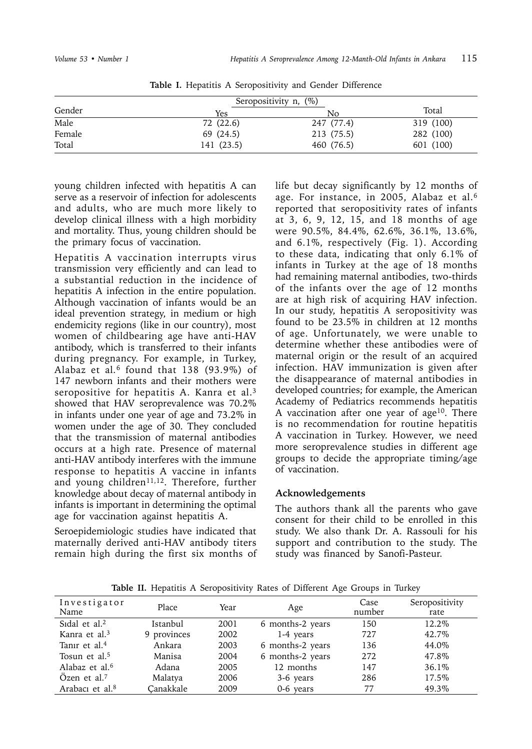| Gender | Yes        | No.        | Total     |
|--------|------------|------------|-----------|
| Male   | 72 (22.6)  | 247 (77.4) | 319 (100) |
| Female | 69 (24.5)  | 213 (75.5) | 282 (100) |
| Total  | 141 (23.5) | 460 (76.5) | 601 (100) |

**Table I.** Hepatitis A Seropositivity and Gender Difference

young children infected with hepatitis A can serve as a reservoir of infection for adolescents and adults, who are much more likely to develop clinical illness with a high morbidity and mortality. Thus, young children should be the primary focus of vaccination.

Hepatitis A vaccination interrupts virus transmission very efficiently and can lead to a substantial reduction in the incidence of hepatitis A infection in the entire population. Although vaccination of infants would be an ideal prevention strategy, in medium or high endemicity regions (like in our country), most women of childbearing age have anti-HAV antibody, which is transferred to their infants during pregnancy. For example, in Turkey, Alabaz et al*.*6 found that 138 (93.9%) of 147 newborn infants and their mothers were seropositive for hepatitis A. Kanra et al.<sup>3</sup> showed that HAV seroprevalence was 70.2% in infants under one year of age and 73.2% in women under the age of 30. They concluded that the transmission of maternal antibodies occurs at a high rate. Presence of maternal anti-HAV antibody interferes with the immune response to hepatitis A vaccine in infants and young children<sup>11,12</sup>. Therefore, further knowledge about decay of maternal antibody in infants is important in determining the optimal age for vaccination against hepatitis A.

Seroepidemiologic studies have indicated that maternally derived anti-HAV antibody titers remain high during the first six months of life but decay significantly by 12 months of age. For instance, in 2005, Alabaz et al.6 reported that seropositivity rates of infants at 3, 6, 9, 12, 15, and 18 months of age were 90.5%, 84.4%, 62.6%, 36.1%, 13.6%, and 6.1%, respectively (Fig. 1). According to these data, indicating that only 6.1% of infants in Turkey at the age of 18 months had remaining maternal antibodies, two-thirds of the infants over the age of 12 months are at high risk of acquiring HAV infection. In our study, hepatitis A seropositivity was found to be 23.5% in children at 12 months of age. Unfortunately, we were unable to determine whether these antibodies were of maternal origin or the result of an acquired infection. HAV immunization is given after the disappearance of maternal antibodies in developed countries; for example, the American Academy of Pediatrics recommends hepatitis A vaccination after one year of age<sup>10</sup>. There is no recommendation for routine hepatitis A vaccination in Turkey. However, we need more seroprevalence studies in different age groups to decide the appropriate timing/age of vaccination.

## **Acknowledgements**

The authors thank all the parents who gave consent for their child to be enrolled in this study. We also thank Dr. A. Rassouli for his support and contribution to the study. The study was financed by Sanofi-Pasteur.

| Investigator<br>Name        | Place       | Year | Age              | Case<br>number | Seropositivity<br>rate |
|-----------------------------|-------------|------|------------------|----------------|------------------------|
| Sidal et al. $2$            | Istanbul    | 2001 | 6 months-2 years | 150            | 12.2\%                 |
| Kanra et al. <sup>3</sup>   | 9 provinces | 2002 | 1-4 years        | 727            | 42.7%                  |
| Tanir et al. <sup>4</sup>   | Ankara      | 2003 | 6 months-2 years | 136            | 44.0%                  |
| Tosun et al. <sup>5</sup>   | Manisa      | 2004 | 6 months-2 years | 2.72.          | 47.8%                  |
| Alabaz et al. <sup>6</sup>  | Adana       | 2005 | 12 months        | 147            | 36.1%                  |
| Ozen et al. $7$             | Malatya     | 2006 | 3-6 years        | 286            | 17.5%                  |
| Arabacı et al. <sup>8</sup> | Canakkale   | 2009 | 0-6 years        | 77             | 49.3%                  |

**Table II.** Hepatitis A Seropositivity Rates of Different Age Groups in Turkey